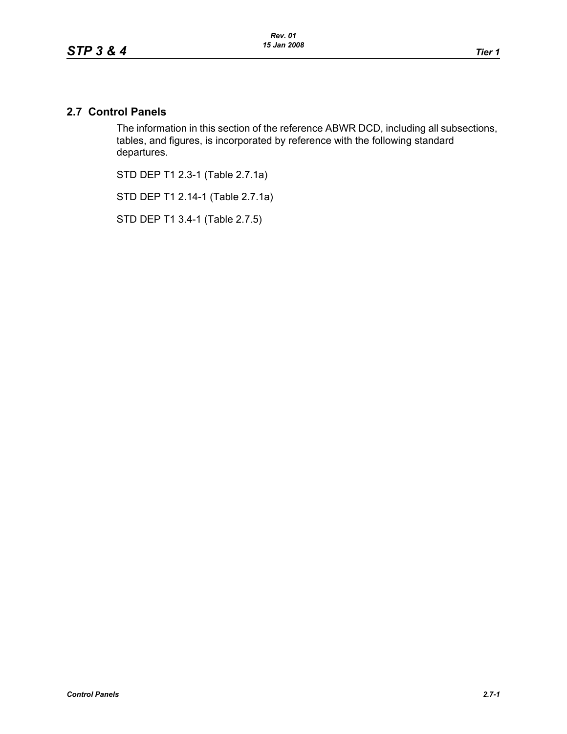# **2.7 Control Panels**

The information in this section of the reference ABWR DCD, including all subsections, tables, and figures, is incorporated by reference with the following standard departures.

STD DEP T1 2.3-1 (Table 2.7.1a)

STD DEP T1 2.14-1 (Table 2.7.1a)

STD DEP T1 3.4-1 (Table 2.7.5)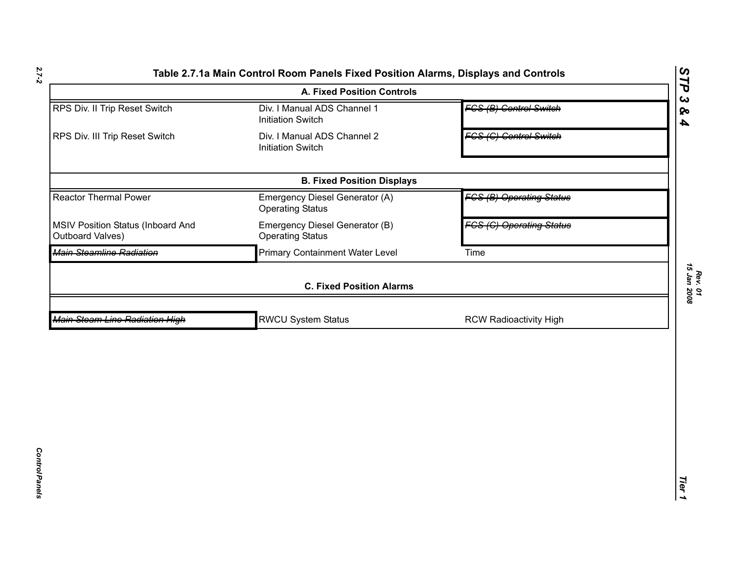|                                                       | <b>A. Fixed Position Controls</b>                         |                                 | STP<br>$\boldsymbol{\omega}$ |
|-------------------------------------------------------|-----------------------------------------------------------|---------------------------------|------------------------------|
| RPS Div. II Trip Reset Switch                         | Div. I Manual ADS Channel 1<br><b>Initiation Switch</b>   | <b>FCS (B) Control Switch</b>   | ବ<br>$\blacktriangle$        |
| RPS Div. III Trip Reset Switch                        | Div. I Manual ADS Channel 2<br><b>Initiation Switch</b>   | <b>FCS (C) Control Switch</b>   |                              |
|                                                       | <b>B. Fixed Position Displays</b>                         |                                 |                              |
| <b>Reactor Thermal Power</b>                          | Emergency Diesel Generator (A)<br><b>Operating Status</b> | <b>FCS (B) Operating Status</b> |                              |
| MSIV Position Status (Inboard And<br>Outboard Valves) | Emergency Diesel Generator (B)<br><b>Operating Status</b> | <b>FCS (C) Operating Status</b> |                              |
| Main Steamline Radiation                              | <b>Primary Containment Water Level</b>                    | Time                            |                              |
|                                                       | <b>C. Fixed Position Alarms</b>                           |                                 |                              |
| <b>Main Steam Line Radiation High</b>                 | <b>RWCU System Status</b>                                 | <b>RCW Radioactivity High</b>   |                              |
|                                                       |                                                           |                                 |                              |
|                                                       |                                                           |                                 | Tier                         |

*2.7-2*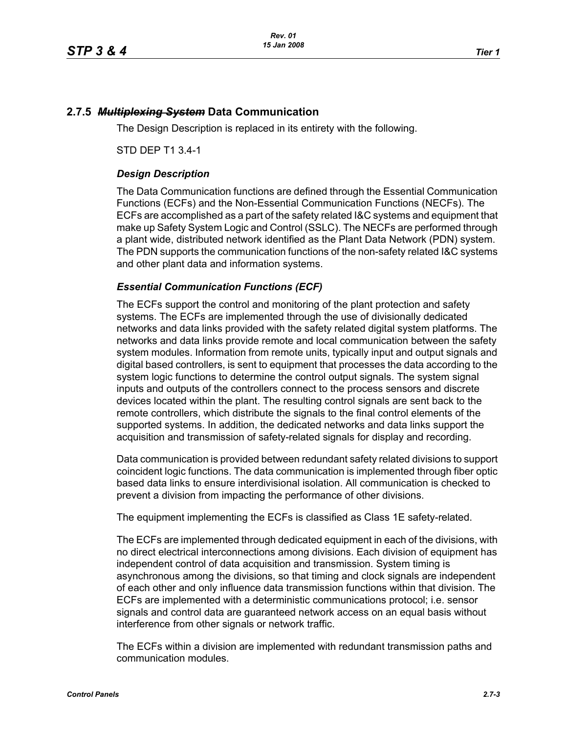## **2.7.5** *Multiplexing System* **Data Communication**

The Design Description is replaced in its entirety with the following.

STD DEP T1 3.4-1

### *Design Description*

The Data Communication functions are defined through the Essential Communication Functions (ECFs) and the Non-Essential Communication Functions (NECFs). The ECFs are accomplished as a part of the safety related I&C systems and equipment that make up Safety System Logic and Control (SSLC). The NECFs are performed through a plant wide, distributed network identified as the Plant Data Network (PDN) system. The PDN supports the communication functions of the non-safety related I&C systems and other plant data and information systems.

#### *Essential Communication Functions (ECF)*

The ECFs support the control and monitoring of the plant protection and safety systems. The ECFs are implemented through the use of divisionally dedicated networks and data links provided with the safety related digital system platforms. The networks and data links provide remote and local communication between the safety system modules. Information from remote units, typically input and output signals and digital based controllers, is sent to equipment that processes the data according to the system logic functions to determine the control output signals. The system signal inputs and outputs of the controllers connect to the process sensors and discrete devices located within the plant. The resulting control signals are sent back to the remote controllers, which distribute the signals to the final control elements of the supported systems. In addition, the dedicated networks and data links support the acquisition and transmission of safety-related signals for display and recording.

Data communication is provided between redundant safety related divisions to support coincident logic functions. The data communication is implemented through fiber optic based data links to ensure interdivisional isolation. All communication is checked to prevent a division from impacting the performance of other divisions.

The equipment implementing the ECFs is classified as Class 1E safety-related.

The ECFs are implemented through dedicated equipment in each of the divisions, with no direct electrical interconnections among divisions. Each division of equipment has independent control of data acquisition and transmission. System timing is asynchronous among the divisions, so that timing and clock signals are independent of each other and only influence data transmission functions within that division. The ECFs are implemented with a deterministic communications protocol; i.e. sensor signals and control data are guaranteed network access on an equal basis without interference from other signals or network traffic.

The ECFs within a division are implemented with redundant transmission paths and communication modules.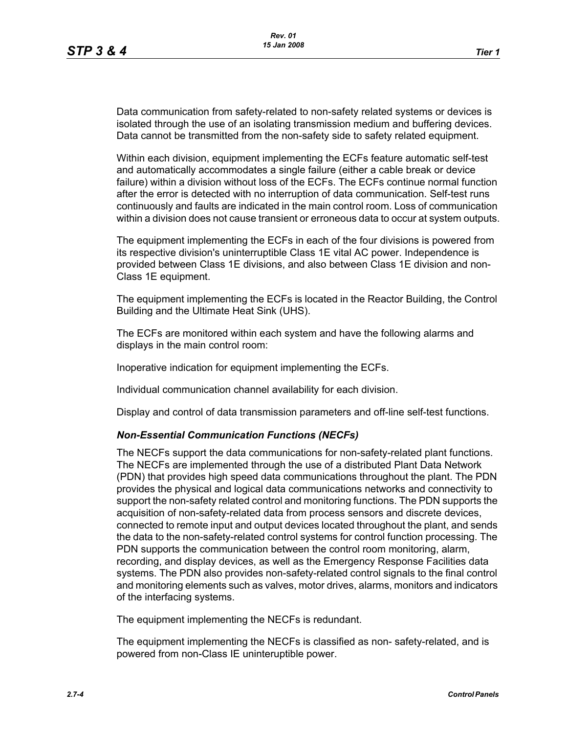Data communication from safety-related to non-safety related systems or devices is isolated through the use of an isolating transmission medium and buffering devices. Data cannot be transmitted from the non-safety side to safety related equipment.

Within each division, equipment implementing the ECFs feature automatic self-test and automatically accommodates a single failure (either a cable break or device failure) within a division without loss of the ECFs. The ECFs continue normal function after the error is detected with no interruption of data communication. Self-test runs continuously and faults are indicated in the main control room. Loss of communication within a division does not cause transient or erroneous data to occur at system outputs.

The equipment implementing the ECFs in each of the four divisions is powered from its respective division's uninterruptible Class 1E vital AC power. Independence is provided between Class 1E divisions, and also between Class 1E division and non-Class 1E equipment.

The equipment implementing the ECFs is located in the Reactor Building, the Control Building and the Ultimate Heat Sink (UHS).

The ECFs are monitored within each system and have the following alarms and displays in the main control room:

Inoperative indication for equipment implementing the ECFs.

Individual communication channel availability for each division.

Display and control of data transmission parameters and off-line self-test functions.

## *Non-Essential Communication Functions (NECFs)*

The NECFs support the data communications for non-safety-related plant functions. The NECFs are implemented through the use of a distributed Plant Data Network (PDN) that provides high speed data communications throughout the plant. The PDN provides the physical and logical data communications networks and connectivity to support the non-safety related control and monitoring functions. The PDN supports the acquisition of non-safety-related data from process sensors and discrete devices, connected to remote input and output devices located throughout the plant, and sends the data to the non-safety-related control systems for control function processing. The PDN supports the communication between the control room monitoring, alarm, recording, and display devices, as well as the Emergency Response Facilities data systems. The PDN also provides non-safety-related control signals to the final control and monitoring elements such as valves, motor drives, alarms, monitors and indicators of the interfacing systems.

The equipment implementing the NECFs is redundant.

The equipment implementing the NECFs is classified as non- safety-related, and is powered from non-Class IE uninteruptible power.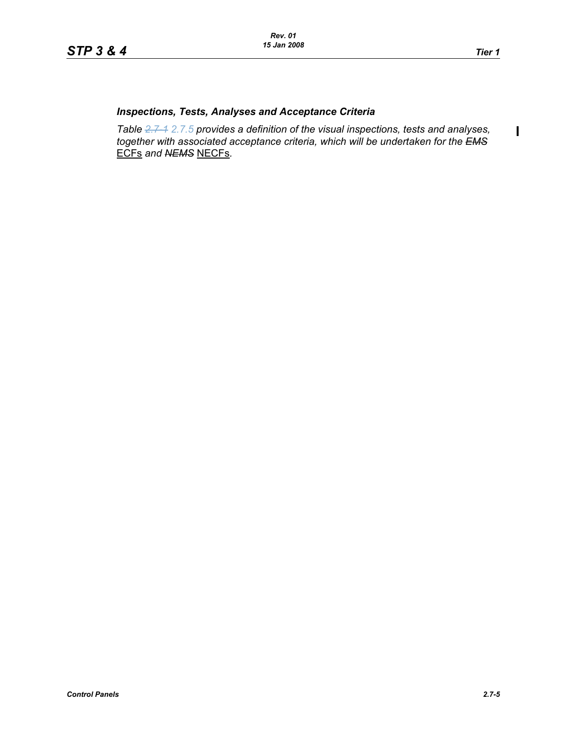$\mathbf I$ 

# *Inspections, Tests, Analyses and Acceptance Criteria*

*Table 2.7-1 2.7.5 provides a definition of the visual inspections, tests and analyses, together with associated acceptance criteria, which will be undertaken for the EMS* ECFs *and NEMS* NECFs*.*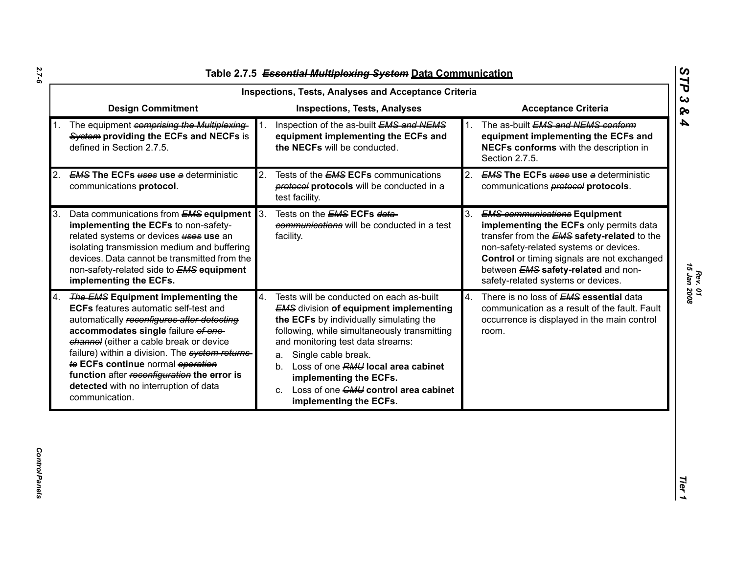|    | Inspections, Tests, Analyses and Acceptance Criteria                                                                                                                                                                                                                                                                                                                                                                        |    |                                                                                                                                                                                                                                                                                                                                                                                                                  |    |                                                                                                                                                                                                                                                                                                                   |  |  |
|----|-----------------------------------------------------------------------------------------------------------------------------------------------------------------------------------------------------------------------------------------------------------------------------------------------------------------------------------------------------------------------------------------------------------------------------|----|------------------------------------------------------------------------------------------------------------------------------------------------------------------------------------------------------------------------------------------------------------------------------------------------------------------------------------------------------------------------------------------------------------------|----|-------------------------------------------------------------------------------------------------------------------------------------------------------------------------------------------------------------------------------------------------------------------------------------------------------------------|--|--|
|    | <b>Design Commitment</b>                                                                                                                                                                                                                                                                                                                                                                                                    |    | <b>Inspections, Tests, Analyses</b>                                                                                                                                                                                                                                                                                                                                                                              |    | <b>Acceptance Criteria</b>                                                                                                                                                                                                                                                                                        |  |  |
|    | The equipment comprising the Multiplexing-<br>System providing the ECFs and NECFs is<br>defined in Section 2.7.5.                                                                                                                                                                                                                                                                                                           |    | Inspection of the as-built EMS and NEMS<br>equipment implementing the ECFs and<br>the NECFs will be conducted.                                                                                                                                                                                                                                                                                                   | 1. | The as-built EMS and NEMS conform<br>equipment implementing the ECFs and<br>NECFs conforms with the description in<br>Section 2.7.5.                                                                                                                                                                              |  |  |
| 2. | <b>EMS The ECFs uses use a deterministic</b><br>communications protocol.                                                                                                                                                                                                                                                                                                                                                    | 2. | Tests of the <b>EMS ECFs</b> communications<br>protocols will be conducted in a<br>test facility.                                                                                                                                                                                                                                                                                                                |    | 2. EMS The ECFs uses use a deterministic<br>communications <b>protocol</b> protocols.                                                                                                                                                                                                                             |  |  |
| 3. | Data communications from <b>EMS equipment</b> 3.<br>implementing the ECFs to non-safety-<br>related systems or devices <b>uses</b> use an<br>isolating transmission medium and buffering<br>devices. Data cannot be transmitted from the<br>non-safety-related side to <b>EMS</b> equipment<br>implementing the ECFs.                                                                                                       |    | Tests on the <i>EMS</i> ECFs data-<br>communications will be conducted in a test<br>facility.                                                                                                                                                                                                                                                                                                                    | 3. | <b>EMS communications Equipment</b><br>implementing the ECFs only permits data<br>transfer from the <b>EMS</b> safety-related to the<br>non-safety-related systems or devices.<br><b>Control</b> or timing signals are not exchanged<br>between EMS safety-related and non-<br>safety-related systems or devices. |  |  |
| 4. | <b>The EMS Equipment implementing the</b><br><b>ECFs</b> features automatic self-test and<br>automatically reconfigures after detecting<br>accommodates single failure of one-<br>channel (either a cable break or device<br>failure) within a division. The system returns-<br>to ECFs continue normal operation<br>function after reconfiguration the error is<br>detected with no interruption of data<br>communication. | 4. | Tests will be conducted on each as-built<br><b>EMS</b> division of equipment implementing<br>the ECFs by individually simulating the<br>following, while simultaneously transmitting<br>and monitoring test data streams:<br>Single cable break.<br>a.<br>Loss of one RMU local area cabinet<br>b.<br>implementing the ECFs.<br>Loss of one CMU control area cabinet<br>$C_{\rm{eff}}$<br>implementing the ECFs. | 4. | There is no loss of <b>EMS</b> essential data<br>communication as a result of the fault. Fault<br>occurrence is displayed in the main control<br>room.                                                                                                                                                            |  |  |

*Rev. 01*<br>15 Jan 2008 *15 Jan 2008*